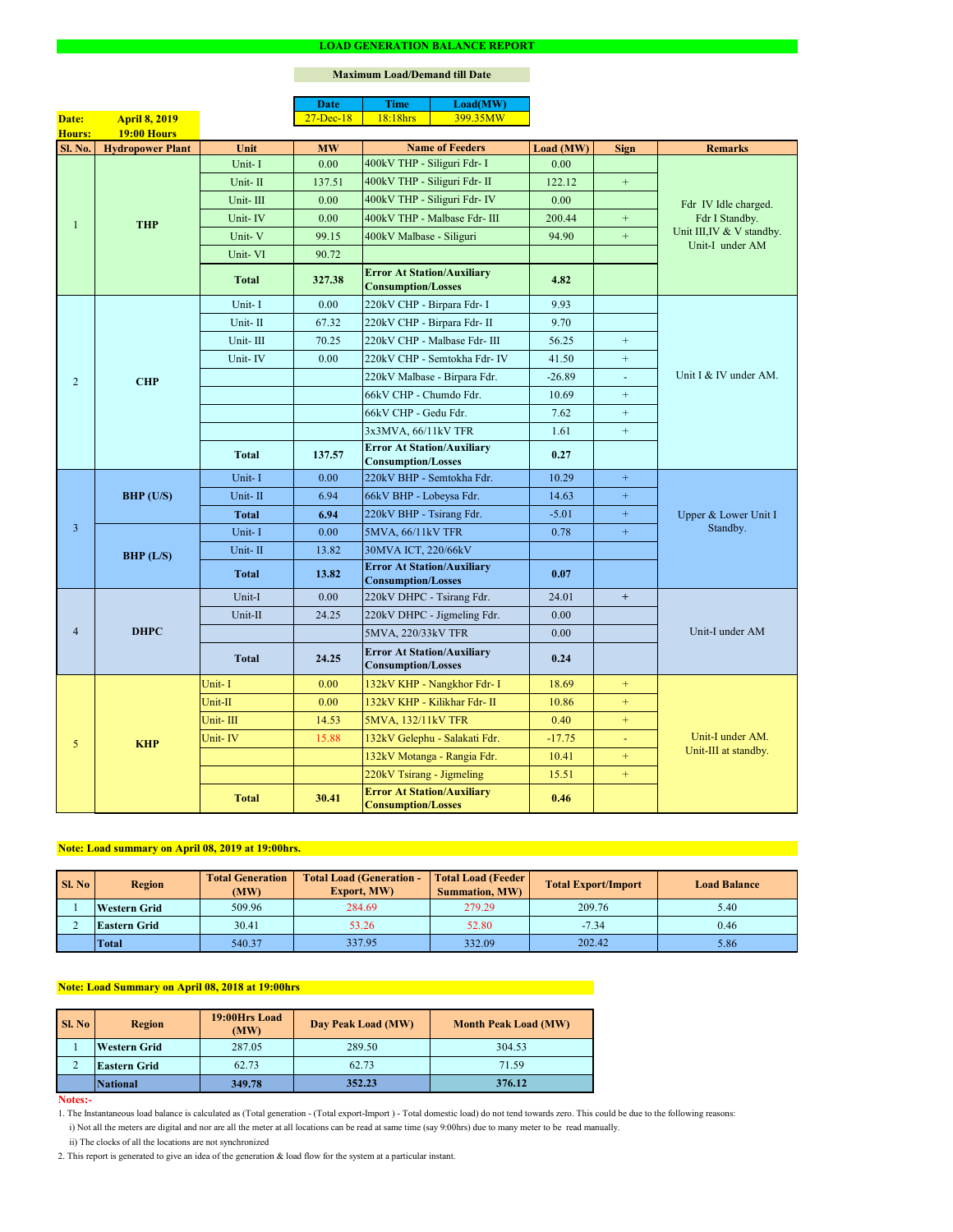#### **Notes:-**

|                |                         |              | <b>Date</b>       | <b>Time</b>                                                    | Load(MW)                      |           |                  |                                                                |  |
|----------------|-------------------------|--------------|-------------------|----------------------------------------------------------------|-------------------------------|-----------|------------------|----------------------------------------------------------------|--|
| Date:          | <b>April 8, 2019</b>    |              | $27 - Dec-18$     | 18:18hrs                                                       | 399.35MW                      |           |                  |                                                                |  |
| Hours:         | <b>19:00 Hours</b>      |              |                   |                                                                |                               |           |                  |                                                                |  |
| <b>Sl. No.</b> | <b>Hydropower Plant</b> | Unit         | <b>MW</b>         |                                                                | <b>Name of Feeders</b>        | Load (MW) | <b>Sign</b>      | <b>Remarks</b>                                                 |  |
|                |                         | Unit-I       | 0.00              | 400kV THP - Siliguri Fdr- I                                    |                               | 0.00      |                  |                                                                |  |
|                |                         | Unit-II      | 137.51            | 400kV THP - Siliguri Fdr- II                                   |                               | 122.12    | $\boldsymbol{+}$ |                                                                |  |
|                |                         | Unit-III     | 0.00              |                                                                | 400kV THP - Siliguri Fdr- IV  | 0.00      |                  | Fdr IV Idle charged.                                           |  |
|                | <b>THP</b>              | Unit-IV      | 0.00              |                                                                | 400kV THP - Malbase Fdr- III  | 200.44    | $+$              | Fdr I Standby.<br>Unit III, IV & V standby.<br>Unit-I under AM |  |
|                |                         | Unit-V       | 99.15             | 400kV Malbase - Siliguri                                       |                               | 94.90     | $+$              |                                                                |  |
|                |                         | Unit-VI      | 90.72             |                                                                |                               |           |                  |                                                                |  |
|                |                         | <b>Total</b> | 327.38            | <b>Error At Station/Auxiliary</b><br><b>Consumption/Losses</b> |                               | 4.82      |                  |                                                                |  |
|                |                         | Unit-I       | 0.00              | 220kV CHP - Birpara Fdr- I                                     |                               | 9.93      |                  |                                                                |  |
|                |                         | Unit-II      | 67.32             | 220kV CHP - Birpara Fdr- II                                    |                               | 9.70      |                  |                                                                |  |
|                |                         | Unit-III     | 70.25             |                                                                | 220kV CHP - Malbase Fdr- III  | 56.25     | $+$              |                                                                |  |
|                |                         | Unit-IV      | 0.00              |                                                                | 220kV CHP - Semtokha Fdr- IV  | 41.50     | $\boldsymbol{+}$ |                                                                |  |
| $\overline{2}$ | <b>CHP</b>              |              |                   |                                                                | 220kV Malbase - Birpara Fdr.  | $-26.89$  | $\omega$         | Unit I & IV under AM.                                          |  |
|                |                         |              |                   | 66kV CHP - Chumdo Fdr.                                         |                               | 10.69     | $+$              |                                                                |  |
|                |                         |              |                   | 66kV CHP - Gedu Fdr.                                           |                               | 7.62      | $+$              |                                                                |  |
|                |                         |              |                   | 3x3MVA, 66/11kV TFR                                            |                               | 1.61      | $+$              |                                                                |  |
|                |                         | <b>Total</b> | 137.57            | <b>Error At Station/Auxiliary</b><br><b>Consumption/Losses</b> |                               | 0.27      |                  |                                                                |  |
|                | BHP (U/S)               | Unit-I       | 0.00              | 220kV BHP - Semtokha Fdr.                                      |                               | 10.29     | $+$              |                                                                |  |
|                |                         | Unit-II      | 6.94              | 66kV BHP - Lobeysa Fdr.                                        |                               | 14.63     | $\boldsymbol{+}$ |                                                                |  |
|                |                         | Total        | 6.94              | 220kV BHP - Tsirang Fdr.                                       |                               | $-5.01$   | $+$              | Upper & Lower Unit I<br>Standby.                               |  |
| $\overline{3}$ |                         | Unit-I       | 0.00              | 5MVA, 66/11kV TFR                                              |                               | 0.78      | $+$              |                                                                |  |
|                | BHP (L/S)               | Unit-II      | 13.82             | 30MVA ICT, 220/66kV                                            |                               |           |                  |                                                                |  |
|                |                         | <b>Total</b> | 13.82             | <b>Error At Station/Auxiliary</b><br><b>Consumption/Losses</b> |                               | 0.07      |                  |                                                                |  |
|                | <b>DHPC</b>             | Unit-I       | 0.00              | 220kV DHPC - Tsirang Fdr.                                      |                               | 24.01     | $+$              |                                                                |  |
|                |                         | Unit-II      | 24.25             |                                                                | 220kV DHPC - Jigmeling Fdr.   | 0.00      |                  |                                                                |  |
| $\overline{4}$ |                         |              |                   | 5MVA, 220/33kV TFR                                             |                               | 0.00      |                  | Unit-I under AM                                                |  |
|                |                         | <b>Total</b> | 24.25             | <b>Error At Station/Auxiliary</b><br><b>Consumption/Losses</b> |                               | 0.24      |                  |                                                                |  |
| 5              |                         | Unit-I       | 0.00              |                                                                | 132kV KHP - Nangkhor Fdr- I   | 18.69     | $+$              |                                                                |  |
|                |                         | Unit-II      | 0.00 <sub>1</sub> |                                                                | 132kV KHP - Kilikhar Fdr- II  | 10.86     | $+$              |                                                                |  |
|                | <b>KHP</b>              | Unit-III     | 14.53             | 5MVA, 132/11kV TFR                                             |                               | 0.40      | $+$              |                                                                |  |
|                |                         | Unit-IV      | 15.88             |                                                                | 132kV Gelephu - Salakati Fdr. | $-17.75$  | $\sim$           | Unit-I under AM.                                               |  |
|                |                         |              |                   |                                                                | 132kV Motanga - Rangia Fdr.   | 10.41     | $^{+}$           | Unit-III at standby.                                           |  |
|                |                         |              |                   | 220kV Tsirang - Jigmeling                                      |                               | 15.51     | $+$              |                                                                |  |
|                |                         | <b>Total</b> | 30.41             | <b>Error At Station/Auxiliary</b><br><b>Consumption/Losses</b> |                               | 0.46      |                  |                                                                |  |

#### **LOAD GENERATION BALANCE REPORT**

| SI. No | <b>Total Generation</b><br><b>Region</b><br>(MW) |        | <b>Total Load (Generation -</b><br><b>Export, MW)</b> | <b>Total Load (Feeder)</b><br><b>Summation, MW)</b> | <b>Total Export/Import</b> | <b>Load Balance</b> |
|--------|--------------------------------------------------|--------|-------------------------------------------------------|-----------------------------------------------------|----------------------------|---------------------|
|        | <b>Western Grid</b>                              | 509.96 | 284.69                                                | 279.29                                              | 209.76                     | 5.40                |
|        | 30.41<br><b>Eastern Grid</b>                     |        | 53.26                                                 | $-7.34$<br>52.80                                    |                            | 0.46                |
|        | <b>Total</b>                                     | 540.37 | 337.95                                                | 332.09                                              | 202.42                     | 5.86                |

| <b>Sl. No</b> | <b>Region</b>       | 19:00Hrs Load<br>(MW) | Day Peak Load (MW) | <b>Month Peak Load (MW)</b> |  |
|---------------|---------------------|-----------------------|--------------------|-----------------------------|--|
|               | <b>Western Grid</b> | 287.05                | 289.50             | 304.53                      |  |
|               | <b>Eastern Grid</b> | 62.73                 | 62.73              | 71.59                       |  |
|               | <b>National</b>     | 349.78                | 352.23             | 376.12                      |  |

# **Note: Load Summary on April 08, 2018 at 19:00hrs**

# **Note: Load summary on April 08, 2019 at 19:00hrs.**

- 1. The Instantaneous load balance is calculated as (Total generation (Total export-Import ) Total domestic load) do not tend towards zero. This could be due to the following reasons:
	- i) Not all the meters are digital and nor are all the meter at all locations can be read at same time (say 9:00hrs) due to many meter to be read manually.
	- ii) The clocks of all the locations are not synchronized
- 2. This report is generated to give an idea of the generation & load flow for the system at a particular instant.

### **Maximum Load/Demand till Date**